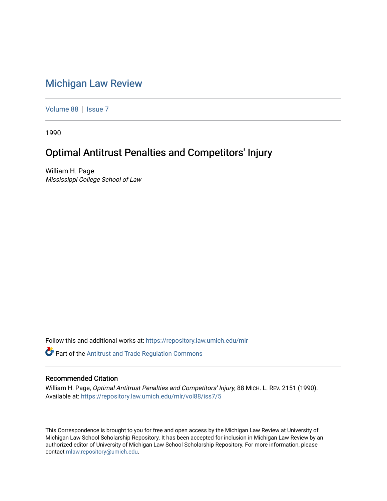## [Michigan Law Review](https://repository.law.umich.edu/mlr)

[Volume 88](https://repository.law.umich.edu/mlr/vol88) | [Issue 7](https://repository.law.umich.edu/mlr/vol88/iss7)

1990

# Optimal Antitrust Penalties and Competitors' Injury

William H. Page Mississippi College School of Law

Follow this and additional works at: [https://repository.law.umich.edu/mlr](https://repository.law.umich.edu/mlr?utm_source=repository.law.umich.edu%2Fmlr%2Fvol88%2Fiss7%2F5&utm_medium=PDF&utm_campaign=PDFCoverPages) 

**Part of the Antitrust and Trade Regulation Commons** 

## Recommended Citation

William H. Page, Optimal Antitrust Penalties and Competitors' Injury, 88 MICH. L. REV. 2151 (1990). Available at: [https://repository.law.umich.edu/mlr/vol88/iss7/5](https://repository.law.umich.edu/mlr/vol88/iss7/5?utm_source=repository.law.umich.edu%2Fmlr%2Fvol88%2Fiss7%2F5&utm_medium=PDF&utm_campaign=PDFCoverPages)

This Correspondence is brought to you for free and open access by the Michigan Law Review at University of Michigan Law School Scholarship Repository. It has been accepted for inclusion in Michigan Law Review by an authorized editor of University of Michigan Law School Scholarship Repository. For more information, please contact [mlaw.repository@umich.edu](mailto:mlaw.repository@umich.edu).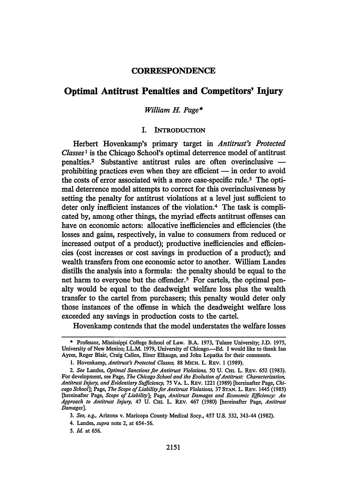### **CORRESPONDENCE**

## **Optimal Antitrust Penalties and Competitors' Injury**

### *William* H. *Page\**

#### I. INTRODUCTION

Herbert Hovenkamp's primary target in *Antitrust's Protected Classes* 1 is the Chicago School's optimal deterrence model of antitrust penalties.<sup>2</sup> Substantive antitrust rules are often overinclusive  $$ prohibiting practices even when they are efficient  $-$  in order to avoid the costs of error associated with a more case-specific rule.<sup>3</sup> The optimal deterrence model attempts to correct for this overinclusiveness by setting the penalty for antitrust violations at a level just sufficient to deter only inefficient instances of the violation.4 The task is complicated by, among other things, the myriad effects antitrust offenses can have on economic actors: allocative inefficiencies and efficiencies (the losses and gains, respectively, in value to consumers from reduced or increased output of a product); productive inefficiencies and efficiencies (cost increases or cost savings in production of a product); and wealth transfers from one economic actor to another. William Landes distills the analysis into a formula: the penalty should be equal to the net harm to everyone but the offender.<sup>5</sup> For cartels, the optimal penalty would be equal to the deadweight welfare loss plus the wealth transfer to the cartel from purchasers; this penalty would deter only those instances of the offense in which the deadweight welfare loss exceeded any savings in production costs to the cartel.

Hovenkamp contends that the model understates the welfare losses

<sup>•</sup> Professor, Mississippi College School of Law. B.A. 1973, Tulane University; J.D. 1975, University of New Mexico; LL.M. 1979, University of Chicago.--Ed. I would like to thank Ian Ayres, Roger Blair, Craig Callen, Einer Elhauge, and John Lopatka for their comments.

<sup>1.</sup> Hovenkamp, *Antitrust's Protected Classes,* 88 MICH. L. REv. 1 (1989).

<sup>2.</sup> *See* Landes, *Optimal Sanctions for Antitrust Violations,* 50 U. CHI. L. REv. 652 (1983). For development, see Page, *The Chicago School and the Evolution of Antitrust: Characterization, Antitrust Injury, and Evidentiary Sufficiency,* 75 VA. L. REv. 1221 (1989) [hereinafter Page, *Chicago School];* Page, *The Scope of Liability for Antitrust Violations,* 37 STAN. L. REv. 1445 (1985) [hereinafter Page, *Scope of Liability];* Page, *Antitrust Damages and Economic Efficiency: An Approach to Antitrust Injury,* 47 U. CHI. L. REv. 467 (1980) [hereinafter Page, *Antitrust Damages].* 

<sup>3.</sup> *See, e.g.,* Arizona v. Maricopa County Medical Socy., 457 U.S. 332, 343-44 (1982).

<sup>4.</sup> Landes, *supra* note 2, at 654-56.

<sup>5.</sup> *Id.* at 656.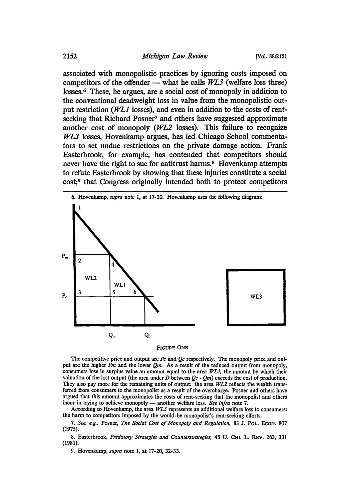associated with monopolistic practices by ignoring costs imposed on competitors of the offender  $-$  what he calls  $W<sub>L3</sub>$  (welfare loss three) losses.<sup>6</sup> These, he argues, are a social cost of monopoly in addition to the conventional deadweight loss in value from the monopolistic output restriction (WLJ losses), and even in addition to the costs of rentseeking that Richard Posner<sup>7</sup> and others have suggested approximate another cost of monopoly (WL2 losses). This failure to recognize *WL3* losses, Hovenkamp argues, has led Chicago School commentators to set undue restrictions on the private damage action. Frank Easterbrook, for example, has contended that competitors should never have the right to sue for antitrust harms. 8 Hovenkamp attempts to refute Easterbrook by showing that these injuries constitute a social cost;9 that Congress originally intended both to protect competitors



#### FIGURE ONE

The competitive price and output are *Pc* and *Qc* respectively. The monopoly price and output are the higher *Pm* and the lower *Qm.* As a result of the reduced output from monopoly, consumers lose in surplus value an amount equal to the area *WLJ,* the amount by which their valuation of the lost output (the area under *D* between *Qc* - *Qm)* exceeds the cost of production. They also pay more for the remaining units of output: the area *WL2* reflects the wealth transferred from consumers to the monopolist as a result of the overcharge. Posner and others have argued that this amount approximates the costs of rent-seeking that the monopolist and others incur in trying to achieve monopoly — another welfare loss. *See infra* note 7.

According to Hovenkarnp, the area *WL3* represents an additional welfare loss to consumers: the harm to competitors imposed by the would-be monopolist's rent-seeking efforts.

7. *See, e.g.,* Posner, *The Social Cost of Monopoly and Regulation,* 83 J. PoL. EcoN. 807 (1975).

8. Easterbrook, *Predatory Strategies and Counterstrategies,* 48 U. CHI. L. REV. 263, 331 (1981).

9. Hovenkarnp, *supra* note 1, at 17-20, 32-33.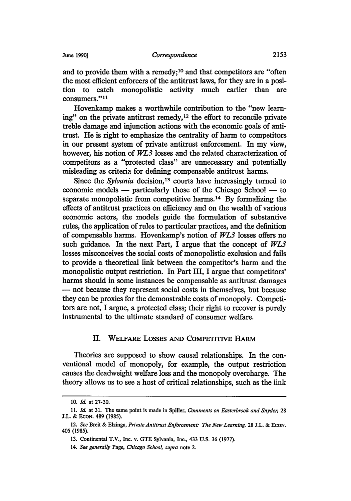and to provide them with a remedy; 10 and that competitors are "often the most efficient enforcers of the antitrust laws, for they are in a position to catch monopolistic activity much earlier than are consumers."<sup>11</sup>

Hovenkamp makes a worthwhile contribution to the "new learning" on the private antitrust remedy, 12 the effort to reconcile private treble damage and injunction actions with the economic goals of antitrust. He is right to emphasize the centrality of harm to competitors in our present system of private antitrust enforcement. In my view, however, his notion of *WL3* losses and the related characterization of competitors as a "protected class" are unnecessary and potentially misleading as criteria for defining compensable antitrust harms.

Since the *Sylvania* decision,<sup>13</sup> courts have increasingly turned to economic models  $-$  particularly those of the Chicago School  $-$  to separate monopolistic from competitive harms. 14 By formalizing the effects of antitrust practices on efficiency and on the wealth of various economic actors, the models guide the formulation of substantive rules, the application of rules to particular practices, and the definition of compensable harms. Hovenkamp's notion of *WL3* losses offers no such guidance. In the next Part, I argue that the concept of *WL3*  losses misconceives the socia1 costs of monopolistic exclusion and fails to provide a theoretical link between the competitor's harm and the monopolistic output restriction. In Part III, I argue that competitors' harms should in some instances be compensable as antitrust damages - not because they represent social costs in themselves, but because they can be proxies for the demonstrable costs of monopoly. Competitors are not, I argue, a protected class; their right to recover is purely instrumental to the ultimate standard of consumer welfare.

#### II. WELFARE LOSSES AND COMPETITIVE HARM

Theories are supposed to show causal relationships. In the conventional model of monopoly, for example, the output restriction causes the deadweight welfare loss and the monopoly overcharge. The theory allows us to see a host of critical relationships, such as the link

<sup>10.</sup> *Id.* at 27-30.

<sup>11.</sup> *Id.* at 31. The same point is made in Spiller, *Comments on Easterbrook and Snyder,* 28 J.L. & Econ. 489 (1985).

<sup>12.</sup> *See* Breit & Elzinga, *Private Antitrust Enforcement: The New Leaming,* 28 J.L. & EcoN. 405 (1985).

<sup>13.</sup> Continental T.V., Inc. v. GTE Sylvania, Inc., 433 U.S. 36 (1977).

<sup>14.</sup> *See generally Page, Chicago School, supra* note 2.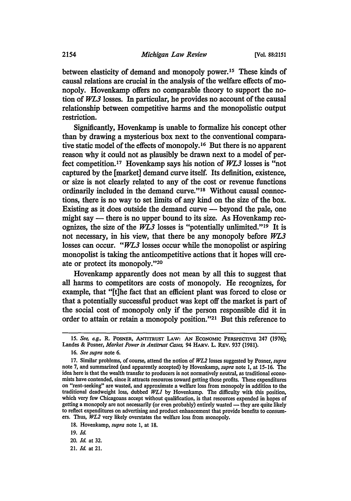between elasticity of demand and monopoly power.15 These kinds of causal relations are crucial in the analysis of the welfare effects of monopoly. Hovenkamp offers no comparable theory to support the notion of *WL3* losses. In particular, he provides no account of the causal relationship between competitive harms and the monopolistic output restriction.

Significantly, Hovenkamp is unable to formalize his concept other than by drawing a mysterious box next to the conventional comparative static model of the effects of monopoly. 16 But there is no apparent reason why it could not as plausibly be drawn next to a model of perfect competition.17 Hovenkamp says his notion of *WL3* losses is "not captured by the [market] demand curve itself. Its definition, existence, or size is not clearly related to any of the cost or revenue functions ordinarily included in the demand curve."18 Without causal connections, there is no way to set limits of any kind on the size of the box. Existing as it does outside the demand curve  $-$  beyond the pale, one might say  $-$  there is no upper bound to its size. As Hovenkamp recognizes, the size of the *WL3* losses is "potentially unlimited."19 It is not necessary, in his view, that there be any monopoly before *WL3*  losses can occur. *"WL3* losses occur while the monopolist or aspiring monopolist is taking the anticompetitive actions that it hopes will create or protect its monopoly."20

Hovenkamp apparently does not mean by all this to suggest that all harms to competitors are costs of monopoly. He recognizes, for example, that "[t]he fact that an efficient plant was forced to close or that a potentially successful product was kept off the market is part of the social cost of monopoly only if the person responsible did it in order to attain or retain a monopoly position."21 But this reference to

<sup>15.</sup> *See, e.g.,* R. POSNER, ANTITRUST LAW: AN EcONOMIC PERSPECTIVE 247 (1976); Landes & Posner, *Market Power in Antitrust Cases,* 94 HARV. L. REV. 937 (1981).

<sup>16.</sup> *See supra* note 6.

<sup>17.</sup> Similar problems, of course, attend the notion of *WL2* losses suggested by Posner, *supra*  note 7, and summarized (and apparently accepted) by Hovenkamp, *supra* note 1, at 15· 16. The idea here is that the wealth transfer to producers is not normatively neutral, as traditional economists have contended, since it attracts resources toward getting those profits. These expenditures on "rent-seeking" are wasted, and approximate a welfare loss from monopoly in addition to the traditional deadweight loss, dubbed *WLI* by Hovenkamp. The difficulty with this position, which very few Chicagoans accept without qualification, is that resources expended in hopes of getting a monopoly are not necessarily (or even probably) entirely wasted — they are quite likely to reflect expenditures on advertising and product enhancement that provide benefits to consum· ers. Thus, *WL2* very likely overstates the welfare loss from monopoly.

<sup>18.</sup> Hovenkamp, *supra* note 1, at 18.

<sup>19.</sup> *Id.* 

<sup>20.</sup> *Id.* at 32.

<sup>21.</sup> *Id.* at 21.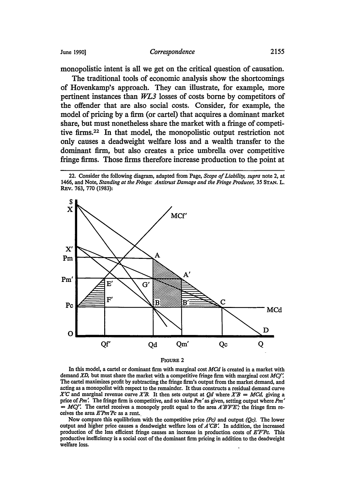monopolistic intent is all we get on the critical question of causation.

The traditional tools of economic analysis show the shortcomings of Hovenkamp's approach. They can illustrate, for example, more pertinent instances than *WL3* losses of costs borne by competitors of the offender that are also social costs. Consider, for example, the model of pricing by a firm (or cartel) that acquires a dominant market share, but must nonetheless share the market with a fringe of competitive firms.22 In that model, the monopolistic output restriction not only causes a deadweight welfare loss and a wealth transfer to the dominant firm, but also creates a price umbrella over competitive fringe firms. Those firms therefore increase production to the point at

<sup>22.</sup> Consider the following diagram, adapted from Page, *Scope of Liability, supra* note 2, at 1466, and Note, *Standing at the Fringe: Antitrust Damage and the Fringe Producer,* 35 STAN. L. REv. 763, 770 (1983):





In this model, a cartel or dominant firm with marginal cost *MCd* is created in a market with demand *XD,* but must share the market with a competitive fringe firm with marginal cost *MC/:*  The cartel maximizes profit by subtracting the fringe firm's output from the market demand, and acting as a monopolist with respect to the remainder. It thus constructs a residual demand curve *X'C* and marginal revenue curve *X'B*. It then sets output at  $Qd$  where *X'B* = *MCd*, giving a price of *Pm:* The fringe firm is competitive, and so takes *Pm'* as given, setting output where *Pm'*   $= M C f'$ . The cartel receives a monopoly profit equal to the area  $A'B'F'E'$ ; the fringe firm receives the area *E'Pm 'Pc* as a rent.

Now compare this equilibrium with the competitive price  $(Pc)$  and output  $(Qc)$ . The lower output and higher price causes a deadweight welfare loss of *A'CB:* In addition, the increased production of the less efficient fringe causes an increase in production costs of *E'F'Pc.* This productive inefficiency is a social cost of the dominant firm pricing in addition to the deadweight welfare loss.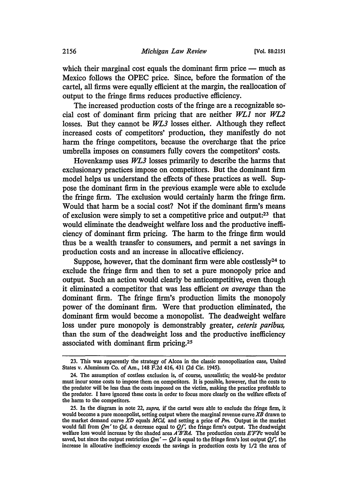which their marginal cost equals the dominant firm price  $-$  much as Mexico follows the OPEC price. Since, before the formation of the cartel, all firms were equally efficient at the margin, the reallocation of output to the fringe firms reduces productive efficiency.

The increased production costs of the fringe are a recognizable social cost of dominant firm pricing that are neither *WLJ* nor *WL2*  losses. But they cannot be *WL3* losses either. Although they reflect increased costs of competitors' production, they manifestly do not harm the fringe competitors, because the overcharge that the price umbrella imposes on consumers fully covers the competitors' costs.

Hovenkamp uses *WL3* losses primarily to describe the harms that exclusionary practices impose on competitors. But the dominant firm model helps us understand the effects of these practices as well. Suppose the dominant firm in the previous example were able to exclude the fringe firm. The exclusion would certainly harm the fringe firm. Would that harm be a social cost? Not if the dominant firm's means of exclusion were simply to set a competitive price and output:23 that would eliminate the deadweight welfare loss and the productive inefficiency of dominant firm pricing. The harm to the fringe firm would thus be a wealth transfer to consumers, and permit a net savings in production costs and an increase in allocative efficiency.

Suppose, however, that the dominant firm were able costlessly<sup>24</sup> to exclude the fringe firm and then to set a pure monopoly price and output. Such an action would clearly be anticompetitive, even though it eliminated a competitor that was less efficient *on average* than the dominant firm. The fringe firm's production limits the monopoly power of the dominant firm. Were that production eliminated, the dominant firm would become a monopolist. The deadweight welfare loss under pure monopoly is demonstrably greater, *ceteris paribus,*  than the sum of the deadweight loss and the productive inefficiency associated with dominant firm pricing.25

<sup>23.</sup> This was apparently the strategy of Alcoa in the classic monopolization case, United States v. Aluminum Co. of Am., 148 F.2d 416, 431 (2d Cir. 1945).

<sup>24.</sup> The assumption of costless exclusion is, of course, unrealistic; the would-be predator must incur some costs to impose them on competitors. It is possible, however, that the costs to the predator will be less than the costs imposed on the victim, making the practice profitable to the predator. I have ignored these costs in order to focus more clearly on the welfare effects of the harm to the competitors.

<sup>25.</sup> In the diagram in note 22, *supra,* if the cartel were able to exclude the fringe firm, it would become a pure monopolist, setting output where the marginal revenue curve XB drawn to the market demand curve *XD* equals *MCd,* and setting a price of *Pm.* Output in the market would fall from *Qm'* to *Qd,* a decrease equal to Qf~ the fringe firm's output. The deadweight welfare loss would increase by the shaded area *A 'B'BA.* The production costs *E'F'Pc* would be saved, but since the output restriction  $Qm' - Qd$  is equal to the fringe firm's lost output  $Qf'$ , the increase in allocative inefficiency exceeds the savings in production costs by 1/2 the area of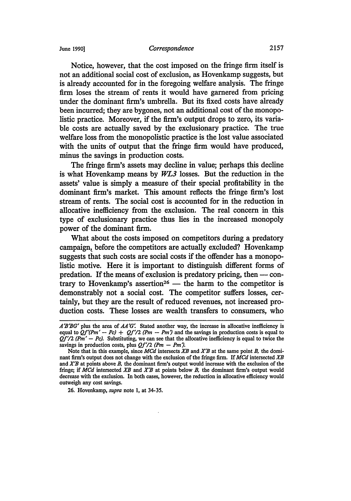Notice, however, that the cost imposed on the fringe firm itself is not an additional social cost of exclusion, as Hovenkamp suggests, but is already accounted for in the foregoing welfare analysis. The fringe firm loses the stream of rents it would have garnered from pricing under the dominant firm's umbrella. But its fixed costs have already been incurred; they are bygones, not an additional cost of the monopolistic practice. Moreover, if the firm's output drops to zero, its variable costs are actually saved by the exclusionary practice. The true welfare loss from the monopolistic practice is the lost value associated with the units of output that the fringe firm would have produced, minus the savings in production costs.

The fringe firm's assets may decline in value; perhaps this decline is what Hovenkamp means by *WL3* losses. But the reduction in the assets' value is simply a measure of their special profitability in the dominant firm's market. This amount reflects the fringe firm's lost stream of rents. The social cost is accounted for in the reduction in allocative inefficiency from the exclusion. The real concern in this type of exclusionary practice thus lies in the increased monopoly power of the dominant firm.

What about the costs imposed on competitors during a predatory campaign, before the competitors are actually excluded? Hovenkamp suggests that such costs are social costs if the offender has a monopolistic motive. Here it is important to distinguish different forms of predation. If the means of exclusion is predatory pricing, then — contrary to Hovenkamp's assertion<sup>26</sup>  $-$  the harm to the competitor is demonstrably not a social cost. The competitor suffers losses, certainly, but they are the result of reduced revenues, not increased production costs. These losses are wealth transfers to consumers, who

26. Hovenkamp, *supra* note l, at 34-35.

A'B'BG' plus the area of AA'G'. Stated another way, the increase in allocative inefficiency is equal to  $Qf'(Pm' - Pc) + Qf''/2$  (Pm - Pm') and the savings in production costs is equal to  $Qf'/2$  ( $Pm' - Pc$ ). Substituting, we can see that the allocative inefficiency is equal to twice the savings in production costs, plus  $Qf'/2$  (Pm - Pm').

Note that in this example, since *MCd* intersects *XB* and *X'B* at the same point *B,* the dominant firm's output does not change with the exclusion of the fringe firm. If *MCd* intersected *XB*  and *X'B* at points above *B,* the dominant firm's output would increase with the exclusion of the fringe; if *MCd* intersected *XB* and *X'B* at points below *B,* the dominant firm's output would decrease with the exclusion. In both cases, however, the reduction in allocative efficiency would outweigh any cost savings.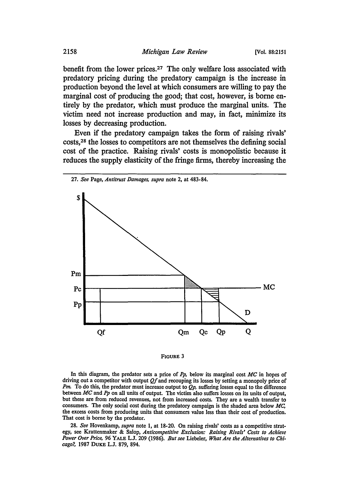benefit from the lower prices.27 The only welfare loss associated with predatory pricing during the predatory campaign is the increase in production beyond the level at which consumers are willing to pay the marginal cost of producing the good; that cost, however, is borne entirely by the predator, which must produce the marginal units. The victim need not increase production and may, in fact, minimize its losses by decreasing production.

Even if the predatory campaign takes the form of raising rivals' costs,28 the losses to competitors are not themselves the defining social cost of the practice. Raising rivals' costs is monopolistic because it reduces the supply elasticity of the fringe firms, thereby increasing the





In this diagram, the predator sets a price of *Pp,* below its marginal cost *MC* in hopes of driving out a competitor with output *QI* and recouping its losses by setting a monopoly price of Pm. To do this, the predator must increase output to *Qp,* suffering losses equal to the difference between *MC* and *Pp* on all units of output. The victim also suffers losses on its units of output, but these are from reduced revenues, not from increased costs. They are a wealth transfer to consumers. The only social cost during the predatory campaign is the shaded area below *MC,*  the excess costs from producing units that consumers value less than their cost of production. That cost is borne by the predator.

28. *See* Hovenkarnp, *supra* note I, at 18-20. On raising rivals' costs as a competitive strategy, see Krattenmaker & Salop, Anticompetitive Exclusion: Raising Rivals' Costs to Achieve *Power Over Price,* 96 YALE L.J. 209 (1986). *But see* Liebeler, *What Are the Alternatives to Chicago?,* 1987 DUKE L.J. 879, 894.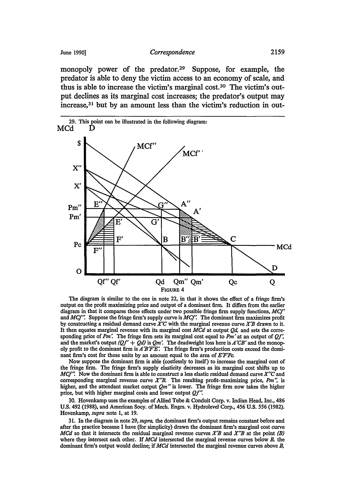June 1990] *Correspondence* 2159

monopoly power of the predator.29 Suppose, for example, the predator is able to deny the victim access to an economy of scale, and thus is able to increase the victim's marginal cost.30 The victim's output declines as its marginal cost increases; the predator's output may increase,31 but by an amount less than the victim's reduction in out-



The diagram is similar to the one in note 22, in that it shows the effect of a fringe firm's output on the profit maximizing price and output of a dominant firm. It differs from the earlier diagram in that it compares those effects under two possible fringe firm supply functions, *MC/'*  and *MCj':* Suppose the fringe firm's supply curve is *MC/:* The dominant firm maximizes profit by constructing a residual demand curve *X'C* with the marginal revenue curve *X'B* drawn to it. It then equates marginal revenue with its marginal cost *MCd* at output *Qd,* and sets the corresponding price of  $Pm'$ . The fringe firm sets its marginal cost equal to  $Pm'$  at an output of  $Qf'$ , and the market's output  $(Qf' + Qd)$  is  $Qm'$ . The deadweight loss here is  $A'CB'$  and the monopoly profit to the dominant firm is *A 'B'F'E:* The fringe firm's production costs exceed the dominant firm's cost for those units by an amount equal to the area of *E'F'Pc.* 

Now suppose the dominant firm is able (costlessly to itself) to increase the marginal cost of the fringe firm. The fringe firm's supply elasticity decreases as its marginal cost shifts up to *MC/':* Now the dominant firm is able to construct a Jess elastic residual demand curve *X"C* and corresponding marginal revenue curve *X''B.* The resulting profit-maximizing price, *Pm':* is higher, and the attendant market output *Qm"* is lower. The fringe firm now takes the higher price, but with higher marginal costs and lower output  $Qf''$ .

30. Hovenkamp uses the examples of Allied Tube & Conduit Corp. v. Indian Head, Inc., 486 U.S. 492 (1988), and American Socy. of Mech. Engrs. v. Hydrolevel Corp., 456 U.S. 556 (1982). Hovenkamp, supra note 1, at 19.

31. In the diagram in note 29, supra, the dominant firm's output remains constant before and after the practice because I have (for simplicity) drawn the dominant firm's marginal cost curve *MCd* so that it intersects the residual marginal revenue curves *X'B* and *X''B* at the point *(B)*  where they intersect each other. If *MCd* intersected the marginal revenue curves below *B,* the dominant firm's output would decline; if *MCd* intersected the marginal revenue curves above *B,*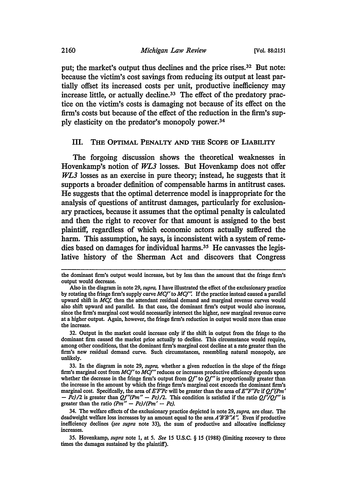put; the market's output thus declines and the price rises.<sup>32</sup> But note: because the victim's cost savings from reducing its output at least partially offset its increased costs per unit, productive inefficiency may increase little, or actually decline.<sup>33</sup> The effect of the predatory practice on the victim's costs is damaging not because of its effect on the firm's costs but because of the effect of the reduction in the firm's supply elasticity on the predator's monopoly power. 34

#### Ill. THE OPTIMAL PENALTY AND THE SCOPE OF LIABILITY

The forgoing discussion shows the theoretical weaknesses in Hovenkamp's notion of *WL3* losses. But Hovenkamp does not offer *WL3* losses as an exercise in pure theory; instead, he suggests that it supports a broader definition of compensable harms in antitrust cases. He suggests that the optimal deterrence model is inappropriate for the analysis of questions of antitrust damages, particularly for exclusionary practices, because it assumes that the optimal penalty is calculated and then the right to recover for that amount is assigned to the best plaintiff, regardless of which economic actors actually suffered the harm. This assumption, he says, is inconsistent with a system of remedies based on damages for individual harms.35 He canvasses the legislative history of the Sherman Act and discovers that Congress

the dominant firm's output would increase, but by less than the amount that the fringe firm's output would decrease.

Also in the diagram in note 29, *supra,* I have illustrated the effect of the exclusionary practice by rotating the fringe firm's supply curve  $MCf'$  to  $MCf''$ . If the practice instead caused a parallel upward shift in  $MCf$ , then the attendant residual demand and marginal revenue curves would also shift upward and parallel. In that case, the dominant firm's output would also increase, since the firm's marginal cost would necessarily intersect the higher, new marginal revenue curve at a higher output. Again, however, the fringe firm's reduction in output would more than erase the increase.

<sup>32.</sup> Output in the market could increase only if the shift in output from the fringe to the dominant firm caused the market price actually to decline. This circumstance would require, among other conditions, that the dominant firm's marginal cost decline at a rate greater than the firm's new residual demand curve. Such circumstances, resembling natural monopoly, are unlikely.

<sup>33.</sup> In the diagram in note 29, *supra,* whether a given reduction in the slope of the fringe firm's marginal cost from  $MG'$  to  $MG'$  reduces or increases productive efficiency depends upon whether the decrease in the fringe firm's output from  $Qf'$  to  $Qf''$  is proportionally greater than the increase in the amount by which the fringe firm's marginal cost exceeds the dominant firm's marginal cost. Specifically, the area of *E'F'Pc* will be greater than the area of *E''F''Pc* if *Qf'(Pm'*   $-$  *Pc)*/2 is greater than  $Qf''(Pm'' - Pc)$ /2. This condition is satisfied if the ratio  $Qf'Qf''$  is greater than the ratio  $(Pm'' - Pc)/(Pm' - Pc)$ .

<sup>34.</sup> The welfare effects of the exclusionary practice depicted in note 29, *supra,* are clear. The deadweight welfare loss increases by an amount equal to the area  $\widehat{A'B'B'A''}$ . Even if productive inefficiency declines *(see supra* note 33), the sum of productive and allocative inefficiency increases.

<sup>35.</sup> Hovenkamp, *supra* note 1, at *5. See* 15 U.S.C. § 15 (1988) (limiting recovery to three times the damages sustained by the plaintiff).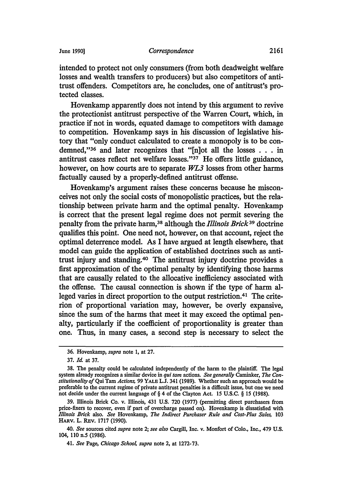intended to protect not only consumers (from both deadweight welfare losses and wealth transfers to producers) but also competitors of antitrust offenders. Competitors are, he concludes, one of antitrust's protected classes.

Hovenkamp apparently does not intend by this argument to revive the protectionist antitrust perspective of the Warren Court, which, in practice if not in words, equated damage to competitors with damage to competition. Hovenkamp says in his discussion of legislative history that "only conduct calculated to create a monopoly is to be condemned,"<sup>36</sup> and later recognizes that "[n]ot all the losses . . . in antitrust cases reflect net welfare losses."37 He offers little guidance, however, on how courts are to separate *WL3* losses from other harms factually caused by a properly-defined antitrust offense.

Hovenkamp's argument raises these concerns because he misconceives not only the social costs of monopolistic practices, but the relationship between private harm and the optimal penalty. Hovenkamp is correct that the present legal regime does not permit severing the penalty from the private harm,<sup>38</sup> although the *Illinois Brick*<sup>39</sup> doctrine qualifies this point. One need not, however, on that account, reject the optimal deterrence model. As I have argued at length elsewhere, that model can guide the application of established doctrines such as antitrust injury and standing.40 The antitrust injury doctrine provides a first approximation of the optimal penalty by identifying those harms that are causally related to the allocative inefficiency associated with the offense. The causal connection is shown if the type of harm alleged varies in direct proportion to the output restriction.41 The criterion of proportional variation may, however, be overly expansive, since the sum of the harms that meet it may exceed the optimal penalty, particularly if the coefficient of proportionality is greater than one. Thus, in many cases, a second step is necessary to select the

<sup>36.</sup> Hovenkamp, *supra* note 1, at 27.

<sup>37.</sup> *Id.* at 37.

<sup>38.</sup> The penalty could be calculated independently of the harm to the plaintiff. The legal system already recognizes a similar device in *qui tam* actions. *See generally* Caminker, *The Constitutionality of* Qui Tam *Actions,* 99 YALE L.J. 341 (1989). Whether such an approach would be preferable to the current regime of private antitrust penalties is a difficult issue, but one we need not decide under the current language of§ 4 of the Clayton Act. 15 U.S.C. § 15 (1988).

<sup>39.</sup> Illinois Brick Co. v. Illinois, 431 U.S. 720 (1977) (permitting direct purchasers from price-fixers to recover, even if part of overcharge passed on). Hovenkamp is dissatisfied with *Illinois Brick* also. *See* Hovenkamp, *The Indirect Purchaser Rule and Cost-Plus Sales,* 103 HARV. L. REV. 1717 (1990).

<sup>40.</sup> *See* sources cited *supra* note 2; *see also* Cargill, Inc. v. Monfort of Colo., Inc., 479 U.S. 104, 110 n.5 (1986).

<sup>41.</sup> *See* Page, *Chicago School, supra* note 2, at 1272-73.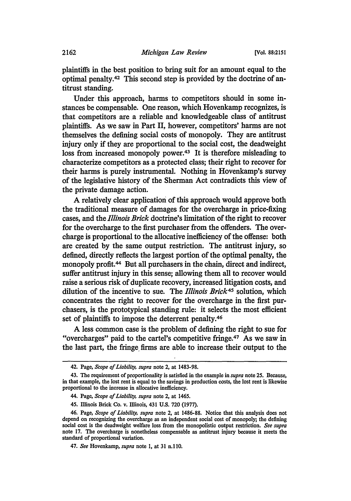plaintiffs in the best position to bring suit for an amount equal to the optimal penalty.42 This second step is provided by the doctrine of antitrust standing.

Under this approach, harms to competitors should in some instances be compensable. One reason, which Hovenkamp recognizes, is that competitors are a reliable and knowledgeable class of antitrust plaintiffs. As we saw in Part II, however, competitors' harms are not themselves the defining social costs of monopoly. They are antitrust injury only if they are proportional to the social cost, the deadweight loss from increased monopoly power.43 It is therefore misleading to characterize competitors as a protected class; their right to recover for their harms is purely instrumental. Nothing in Hovenkamp's survey of the legislative history of the Sherman Act contradicts this view of the private damage action.

A relatively clear application of this approach would approve both the traditional measure of damages for the overcharge in price-fixing cases, and the *Illinois Brick* doctrine's limitation of the right to recover for the overcharge to the first purchaser from the offenders. The overcharge is proportional to the allocative inefficiency of the offense: both are created by the same output restriction. The antitrust injury, so defined, directly reflects the largest portion of the optimal penalty, the monopoly profit.<sup>44</sup> But all purchasers in the chain, direct and indirect, suffer antitrust injury in this sense; allowing them all to recover would raise a serious risk of duplicate recovery, increased litigation costs, and dilution of the incentive to sue. The *Illinois Brick45* solution, which concentrates the right to recover for the overcharge in the first purchasers, is the prototypical standing rule: it selects the most efficient set of plaintiffs to impose the deterrent penalty.46

A less common case is the problem of defining the right to sue for "overcharges" paid to the cartel's competitive fringe.<sup>47</sup> As we saw in the last part, the fringe firms are able to increase their output to the

<sup>42.</sup> Page, *Scope of Liability, supra* note 2, at 1483-98.

<sup>43.</sup> The requirement of proportionality is satisfied in the example in *supra* note 25. Because, in that example, the lost rent is equal to the savings in production costs, the lost rent is likewise proportional to the increase in allocative inefficiency.

<sup>44.</sup> Page, *Scope of Liability, supra* note 2, at 1465.

<sup>45.</sup> Illinois Brick Co. v. Illinois, 431 U.S. 720 (1977).

<sup>46.</sup> Page, *Scope of Liability, supra* note 2, at 1486-88. Notice that this analysis does not depend on recognizing the overcharge as an independent social cost of monopoly; the defining social cost is the deadweight welfare loss from the monopolistic output restriction. *See supra*  note 17. The overcharge is nonetheless compensable as antitrust injury because it meets the standard of proportional variation.

<sup>47.</sup> *See* Hovenkamp, *supra* note 1, at 31 n.110.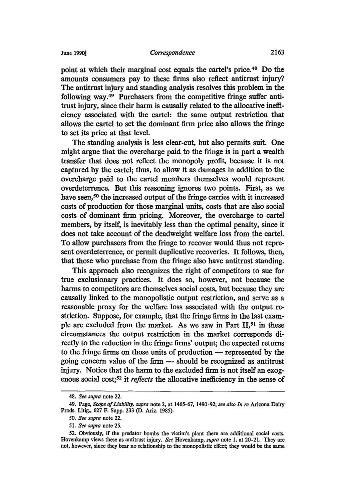point at which their marginal cost equals the cartel's price.48 Do the amounts consumers pay to these firms also reflect antitrust injury? The antitrust injury and standing analysis resolves this problem in the following way.49 Purchasers from the competitive fringe suffer antitrust injury, since their harm is causally related to the allocative inefficiency associated with the cartel: the same output restriction that allows the cartel to set the dominant firm price also allows the fringe to set its price at that level.

The standing analysis is less clear-cut, but also permits suit. One might argue that the overcharge paid to the fringe is in part a wealth transfer that does not reflect the monopoly profit, because it is not captured by the cartel; thus, to allow it as damages in addition to the overcharge paid to the cartel members themselves would represent overdeterrence. But this reasoning ignores two points. First, as we have seen,<sup>50</sup> the increased output of the fringe carries with it increased costs of production for those marginal units, costs that are also social costs of dominant firm pricing. Moreover, the overcharge to cartel members, by itself, is inevitably less than the optimal penalty, since it does not take account of the deadweight welfare loss from the cartel. To allow purchasers from the fringe to recover would thus not represent overdeterrence, or permit duplicative recoveries. It follows, then, that those who purchase from the fringe also have antitrust standing.

This approach also recognizes the right of competitors to sue for true exclusionary practices. It does so, however, not because the harms to competitors are themselves social costs, but because they are causally linked to the monopolistic output restriction, and serve as a reasonable proxy for the welfare loss associated with the output restriction. Suppose, for example, that the fringe firms in the last example are excluded from the market. As we saw in Part II,<sup>51</sup> in these circumstances the output restriction in the market corresponds directly to the reduction in the fringe firms' output; the expected returns to the fringe firms on those units of production — represented by the going concern value of the firm  $-$  should be recognized as antitrust injury. Notice that the harm to the excluded firm is not itself an exogenous social cost;52 it *reflects* the allocative inefficiency in the sense of

<sup>48.</sup> *See supra* note 22.

<sup>49.</sup> Page, *Scope of Liability, supra* note 2, at 1465-67, 1490-92; *see also In re* Arizona Dairy Prods. Litig., 627 F. Supp. 233 (D. Ariz. 1985).

<sup>50.</sup> *See supra* note 22.

<sup>51.</sup> *See supra* note 25.

<sup>52.</sup> Obviously, if the predator bombs the victim's plant there are additional social costs. Hovenkamp views these as antitrust injury. *See* Hovenkamp, *supra* note 1, at 20-21. They are not, however, since they bear no relationship to the monopolistic effect; they would be the same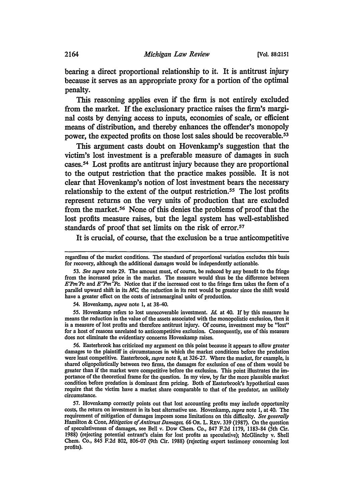bearing a direct proportional relationship to it. It is antitrust injury because it serves as an appropriate proxy for a portion of the optimal penalty.

This reasoning applies even if the firm is not entirely excluded from the market. If the exclusionary practice raises the firm's marginal costs by denying access to inputs, economies of scale, or efficient means of distribution, and thereby enhances the offender's monopoly power, the expected profits on those lost sales should be recoverable.<sup>53</sup>

This argument casts doubt on Hovenkamp's suggestion that the victim's lost investment is a preferable measure of damages in such cases.<sup>54</sup> Lost profits are antitrust injury because they are proportional to the output restriction that the practice makes possible. It is not clear that Hovenkamp's notion of lost investment bears the necessary relationship to the extent of the output restriction. *ss* The lost profits represent returns on the very units of production that are excluded from the market.<sup>56</sup> None of this denies the problems of proof that the lost profits measure raises, but the legal system has well-established standards of proof that set limits on the risk of error.<sup>57</sup>

It is crucial, of course, that the exclusion be a true anticompetitive

54. Hovenkamp, *supra* note 1, at 38-40.

55. Hovenkamp refers to lost unrecoverable investment. *Id.* at 40. If by this measure he means the reduction in the value of the assets associated with the monopolistic exclusion, then it is a measure of lost profits and therefore antitrust injury. Of course, investment may be "lost" for a host of reasons unrelated to anticompetitive exclusion. Consequently, use of this measure does not eliminate the evidentiary concerns Hovenkamp raises.

56. Easterbrook has criticized my argument on this point because it appears to allow greater damages to the plaintiff in circumstances in which the market conditions before the predation were least competitive. Easterbrook, *supra* note 8, at 326-27. Where the market, for example, is shared oligopolistically between two firms, the damages for exclusion of one of them would be greater than if the market were competitive before the exclusion. This point illustrates the im· portance of the theoretical frame for the question. In my view, by far the more plausible market condition before predation is dominant firm pricing. Both of Easterbrook's hypothetical cases require that the victim have a market share comparable to that of the predator, an unlikely circumstance.

57. Hovenkamp correctly points out that lost accounting profits may include opportunity costs, the return on investment in its best alternative use. Hovenkamp, *supra* note 1, at 40. The requirement of mitigation of damages imposes some limitations on this difficulty. *See generally*  Hamilton & Cone, *Mitigation of Antitrust Damages,* 66 OR. L. REV. 339 (1987). On the question of speculativeness of damages, see Bell v. Dow Chem. Co., 847 F.2d 1179, 1183-84 (5th Cir. 1988) (rejecting potential entrant's claim for lost profits as speculative); McGlinchy v. Shell Chem. Co., 845 F.2d 802, 806-07 (9th Cir. 1988) (rejecting expert testimony concerning lost profits).

regardless of the market conditions. The standard of proportional variation excludes this basis for recovery, although the additional damages would be independently actionable.

<sup>53.</sup> *See supra* note 29. The amount must, of course, be reduced by any benefit to the fringe from the increased price in the market. The measure would thus be the difference between *E'Pm 'Pc* and *E''Pm ''Pc.* Notice that if the increased cost to the fringe firm takes the form of a parallel upward shift in its *MC.* the reduction in its rent would be greater since the shift would have a greater effect on the costs of intramarginal units of production.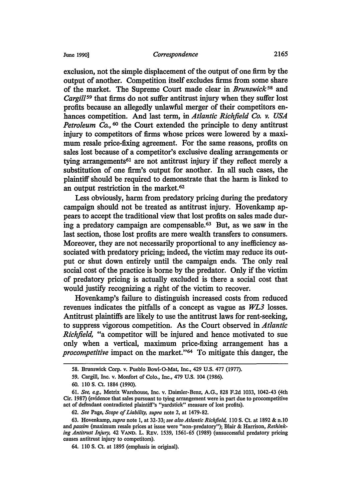exclusion, not the simple displacement of the output of one firm by the output of another. Competition itself excludes firms from some share of the market. The Supreme Court made clear in *Brunswick <sup>58</sup>*and *Cargi/l59* that firms do not suffer antitrust injury when they suffer lost profits because an allegedly unlawful merger of their competitors enhances competition. And last term, in *Atlantic Richfield Co. v. USA Petroleum Co.*, <sup>60</sup> the Court extended the principle to deny antitrust injury to competitors of firms whose prices were lowered by a maximum resale price-fixing agreement. For the same reasons, profits on sales lost because of a competitor's exclusive dealing arrangements or tying arrangements61 are not antitrust injury if they reflect merely a substitution of one firm's output for another. In all such cases, the plaintiff should be required to demonstrate that the harm is linked to an output restriction in the market. 62

Less obviously, harm from predatory pricing during the predatory campaign should not be treated as antitrust injury. Hovenkamp appears to accept the traditional view that lost profits on sales made during a predatory campaign are compensable. 63 But, as we saw in the last section, those lost profits are mere wealth transfers to consumers. Moreover, they are not necessarily proportional to any inefficiency associated with predatory pricing; indeed, the victim may reduce its output or shut down entirely until the campaign ends. The only real social cost of the practice is borne by the predator. Only if the victim of predatory pricing is actually excluded is there a social cost that would justify recognizing a right of the victim to recover.

Hovenkamp's failure to distinguish increased costs from reduced revenues indicates the pitfalls of a concept as vague as *WL3* losses. Antitrust plaintiffs are likely to use the antitrust laws for rent-seeking, to suppress vigorous competition. As the Court observed in *Atlantic Richfield,* "a competitor will be injured and hence motivated to sue only when a vertical, maximum price-fixing arrangement has a *procompetitive* impact on the market."64 To mitigate this danger, the

<sup>58.</sup> Brunswick Corp. v. Pueblo Bowl-0-Mat, Inc., 429 U.S. 477 (1977).

<sup>59.</sup> Cargill, Inc. v. Monfort of Colo., Inc., 479 U.S. 104 (1986).

<sup>60. 110</sup> s. Ct. 1884 (1990).

<sup>61.</sup> *See, e.g.,* Metrix Warehouse, Inc. v. Daimler-Benz, A.G., 828 F.2d 1033, 1042-43 (4th Cir. 1987) (evidence that sales pursuant to tying arrangement were in part due to procompetitive act of defendant contradicted plaintiff's "yardstick" measure of lost profits).

<sup>62.</sup> *See* Page, *Scope of Liability, supra* note 2, at 1479-82.

<sup>63.</sup> Hovenkamp, *supra* note 1, at 32-33; *see also Atlantic Richfield,* 110 S. Ct. at 1892 & n.10 and *passim* (maximum resale prices at issue were "non-predatory"); Blair & Harrison, *Rethinking Antitrust Injury,* 42 VAND. L. REv. 1539, 1561-65 (1989) (unsuccessful predatory pricing causes antitrust injury to competitors).

<sup>64. 110</sup> S. Ct. at 1895 (emphasis in original).